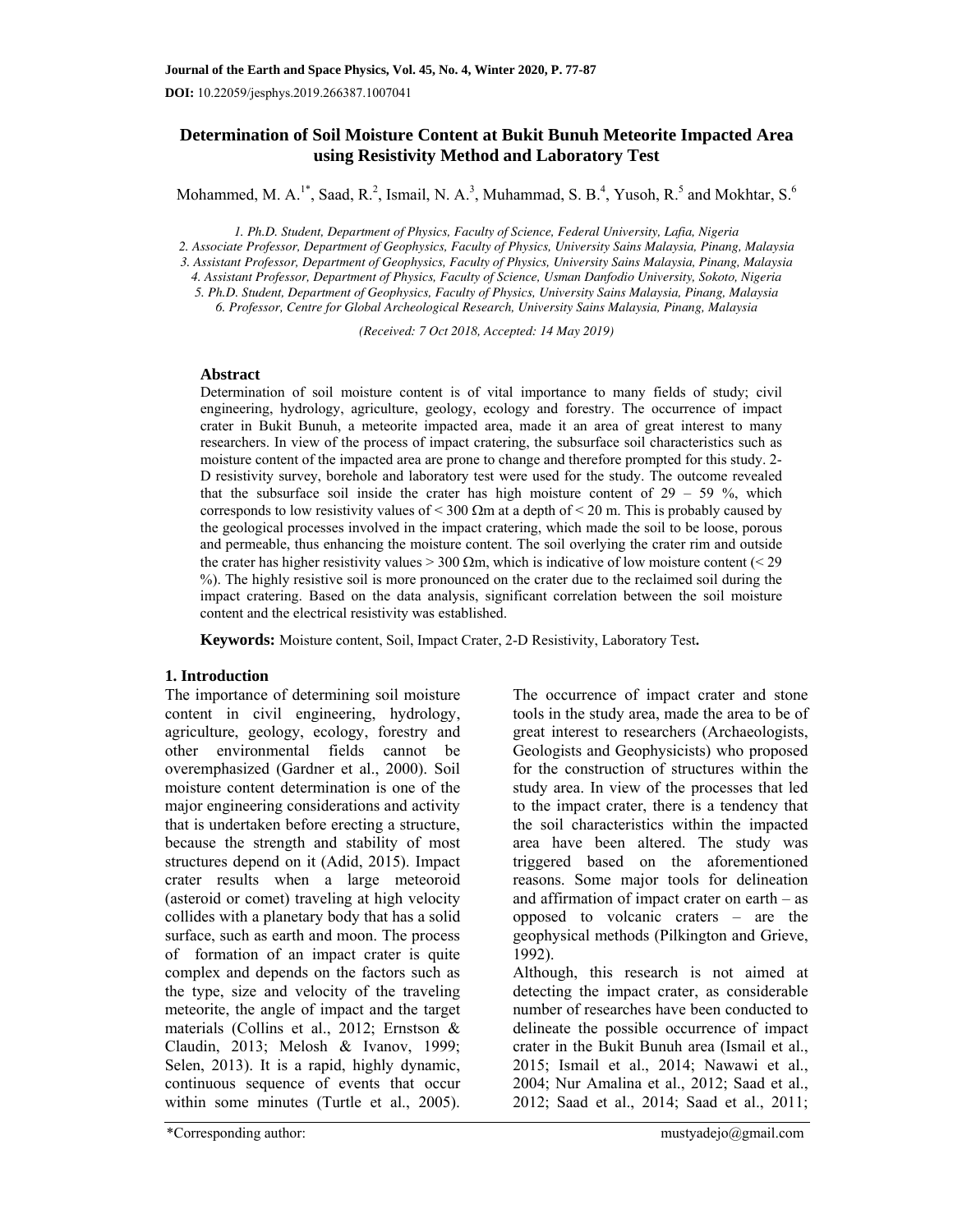**DOI:** 10.22059/jesphys.2019.266387.1007041

# **Determination of Soil Moisture Content at Bukit Bunuh Meteorite Impacted Area using Resistivity Method and Laboratory Test**

Mohammed, M. A.<sup>1\*</sup>, Saad, R.<sup>2</sup>, Ismail, N. A.<sup>3</sup>, Muhammad, S. B.<sup>4</sup>, Yusoh, R.<sup>5</sup> and Mokhtar, S.<sup>6</sup>

*1. Ph.D. Student, Department of Physics, Faculty of Science, Federal University, Lafia, Nigeria 2. Associate Professor, Department of Geophysics, Faculty of Physics, University Sains Malaysia, Pinang, Malaysia 3. Assistant Professor, Department of Geophysics, Faculty of Physics, University Sains Malaysia, Pinang, Malaysia 4. Assistant Professor, Department of Physics, Faculty of Science, Usman Danfodio University, Sokoto, Nigeria 5. Ph.D. Student, Department of Geophysics, Faculty of Physics, University Sains Malaysia, Pinang, Malaysia* 

*6. Professor, Centre for Global Archeological Research, University Sains Malaysia, Pinang, Malaysia* 

*(Received: 7 Oct 2018, Accepted: 14 May 2019)* 

### **Abstract**

Determination of soil moisture content is of vital importance to many fields of study; civil engineering, hydrology, agriculture, geology, ecology and forestry. The occurrence of impact crater in Bukit Bunuh, a meteorite impacted area, made it an area of great interest to many researchers. In view of the process of impact cratering, the subsurface soil characteristics such as moisture content of the impacted area are prone to change and therefore prompted for this study. 2- D resistivity survey, borehole and laboratory test were used for the study. The outcome revealed that the subsurface soil inside the crater has high moisture content of  $29 - 59 \%$ , which corresponds to low resistivity values of  $\leq 300 \Omega$ m at a depth of  $\leq 20$  m. This is probably caused by the geological processes involved in the impact cratering, which made the soil to be loose, porous and permeable, thus enhancing the moisture content. The soil overlying the crater rim and outside the crater has higher resistivity values  $> 300 \Omega m$ , which is indicative of low moisture content (< 29 %). The highly resistive soil is more pronounced on the crater due to the reclaimed soil during the impact cratering. Based on the data analysis, significant correlation between the soil moisture content and the electrical resistivity was established.

**Keywords:** Moisture content, Soil, Impact Crater, 2-D Resistivity, Laboratory Test**.**

### **1. Introduction**

The importance of determining soil moisture content in civil engineering, hydrology, agriculture, geology, ecology, forestry and other environmental fields cannot be overemphasized (Gardner et al., 2000). Soil moisture content determination is one of the major engineering considerations and activity that is undertaken before erecting a structure, because the strength and stability of most structures depend on it (Adid, 2015). Impact crater results when a large meteoroid (asteroid or comet) traveling at high velocity collides with a planetary body that has a solid surface, such as earth and moon. The process of formation of an impact crater is quite complex and depends on the factors such as the type, size and velocity of the traveling meteorite, the angle of impact and the target materials (Collins et al., 2012; Ernstson & Claudin, 2013; Melosh & Ivanov, 1999; Selen, 2013). It is a rapid, highly dynamic, continuous sequence of events that occur within some minutes (Turtle et al., 2005). The occurrence of impact crater and stone tools in the study area, made the area to be of great interest to researchers (Archaeologists, Geologists and Geophysicists) who proposed for the construction of structures within the study area. In view of the processes that led to the impact crater, there is a tendency that the soil characteristics within the impacted area have been altered. The study was triggered based on the aforementioned reasons. Some major tools for delineation and affirmation of impact crater on earth – as opposed to volcanic craters – are the geophysical methods (Pilkington and Grieve, 1992).

Although, this research is not aimed at detecting the impact crater, as considerable number of researches have been conducted to delineate the possible occurrence of impact crater in the Bukit Bunuh area (Ismail et al., 2015; Ismail et al., 2014; Nawawi et al., 2004; Nur Amalina et al., 2012; Saad et al., 2012; Saad et al., 2014; Saad et al., 2011;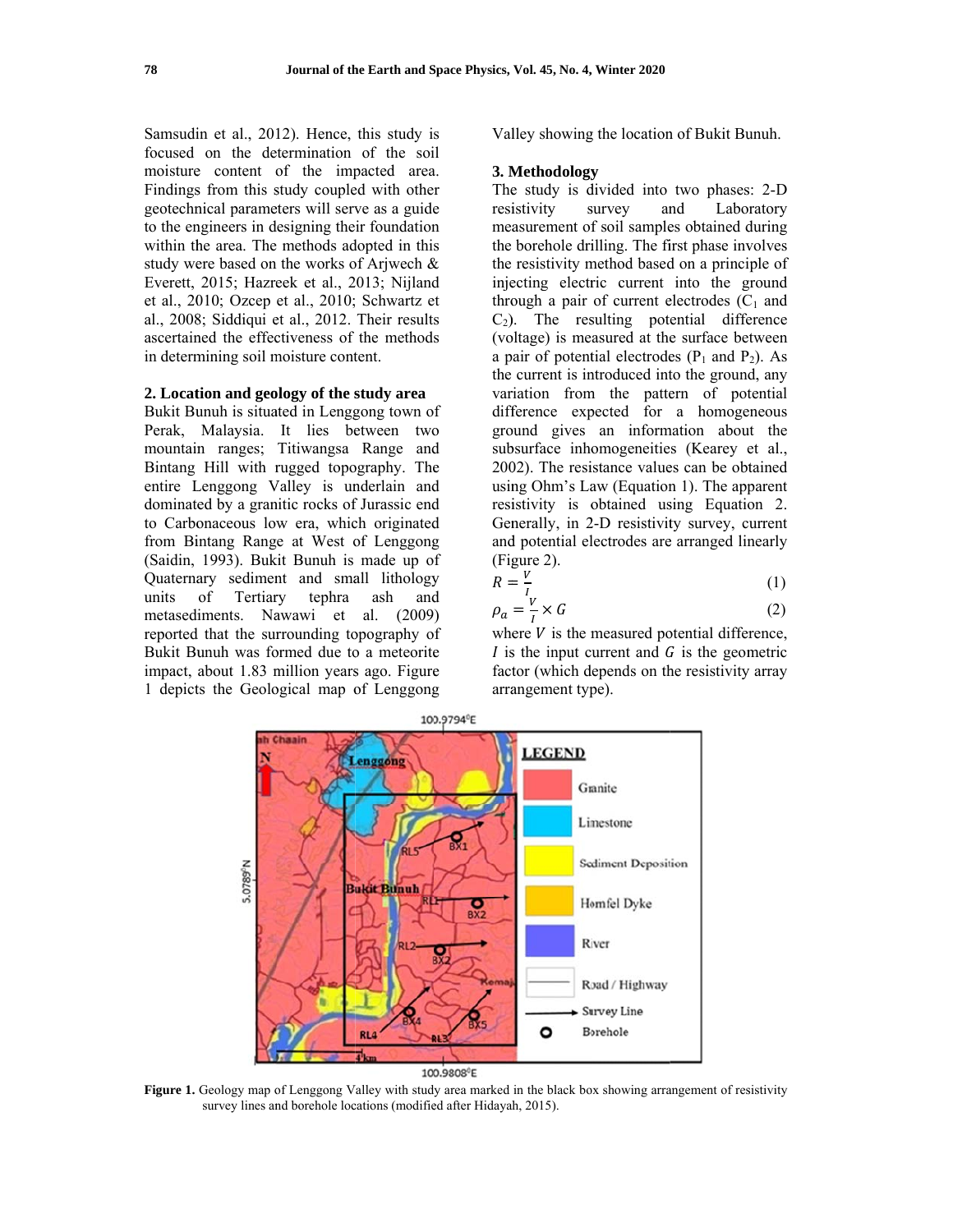Samsudin et al., 2012). Hence, this study is focused on the determination of the soil moisture content of the impacted area. Findings from this study coupled with other geotechnical parameters will serve as a guide to the engineers in designing their foundation within the area. The methods adopted in this study were based on the works of Arjwech & Everett, 2015; Hazreek et al., 2013; Nijland et al., 2010; Ozcep et al., 2010; Schwartz et al., 2008; Siddiqui et al., 2012. Their results ascertained the effectiveness of the methods in determining soil moisture content.

## 2. Location and geology of the study area

Bukit Bunuh is situated in Lenggong town of Perak, Malaysia. It lies between two mountain ranges; Titiwangsa Range and Bintang Hill with rugged topography. The entire Lenggong Valley is underlain and dominated by a granitic rocks of Jurassic end to Carbonaceous low era, which originated from Bintang Range at West of Lenggong (Saidin, 1993). Bukit Bunuh is made up of Quaternary sediment and small lithology units tephra of Tertiary ash and metasediments. Nawawi et al. (2009) reported that the surrounding topography of Bukit Bunuh was formed due to a meteorite impact, about 1.83 million years ago. Figure 1 depicts the Geological map of Lenggong

Valley showing the location of Bukit Bunuh.

### 3. Methodology

The study is divided into two phases: 2-D Laboratory resistivity survey and measurement of soil samples obtained during the borehole drilling. The first phase involves the resistivity method based on a principle of injecting electric current into the ground through a pair of current electrodes  $(C_1$  and  $C<sub>2</sub>$ ). The resulting potential difference (voltage) is measured at the surface between a pair of potential electrodes  $(P_1$  and  $P_2$ ). As the current is introduced into the ground, any variation from the pattern of potential difference expected for a homogeneous ground gives an information about the subsurface inhomogeneities (Kearey et al., 2002). The resistance values can be obtained using Ohm's Law (Equation 1). The apparent resistivity is obtained using Equation 2. Generally, in 2-D resistivity survey, current and potential electrodes are arranged linearly (Figure 2).

$$
R = \frac{V}{I} \tag{1}
$$

$$
\rho_a = \frac{V}{I} \times G \tag{2}
$$

where  $V$  is the measured potential difference, I is the input current and  $G$  is the geometric factor (which depends on the resistivity array arrangement type).



Figure 1. Geology map of Lenggong Valley with study area marked in the black box showing arrangement of resistivity survey lines and borehole locations (modified after Hidayah, 2015).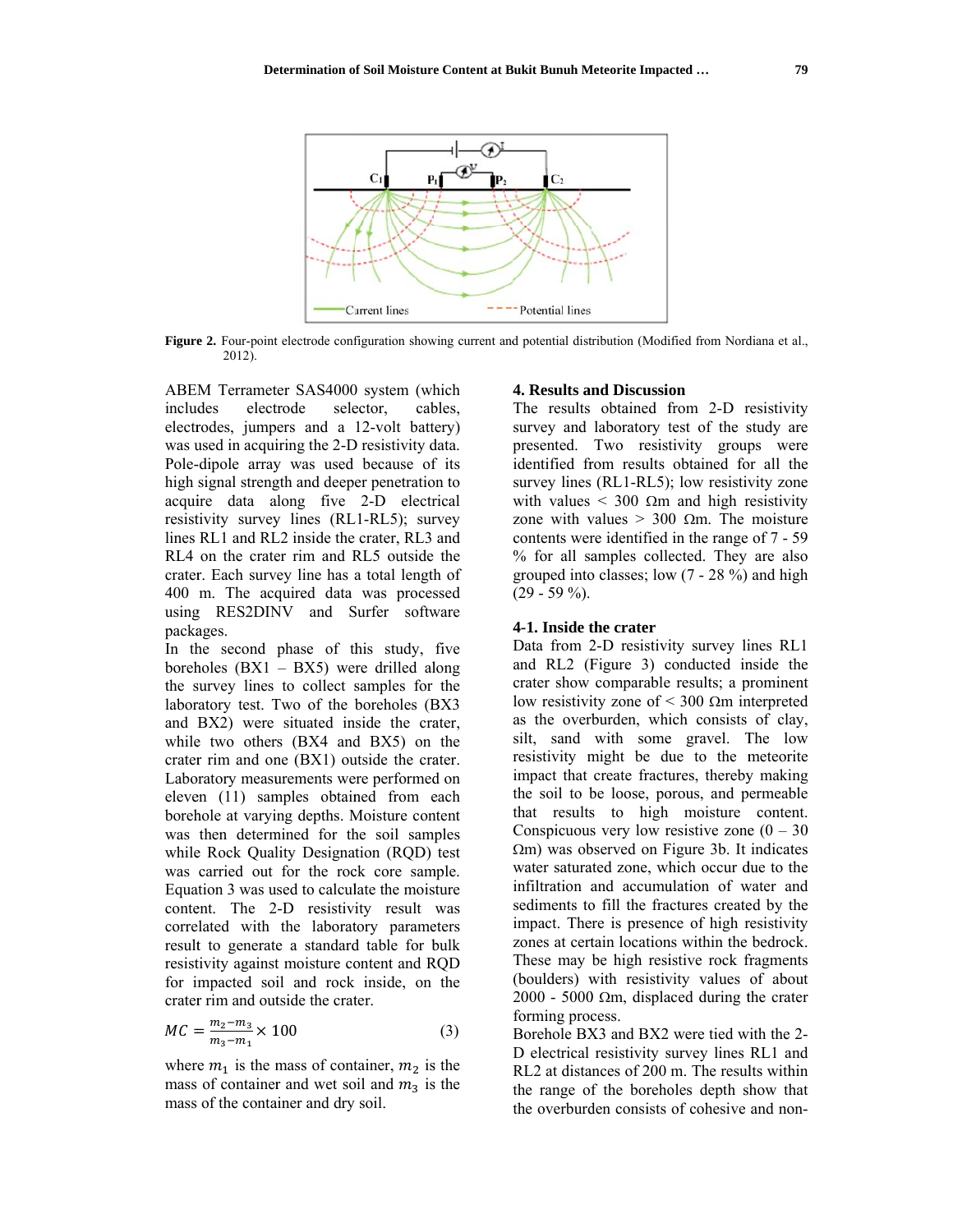

Figure 2. Four-point electrode configuration showing current and potential distribution (Modified from Nordiana et al.,  $2012$ ).

ABEM Terrameter SAS4000 system (which electrode selector, cables. includes electrodes, jumpers and a 12-volt battery) was used in acquiring the 2-D resistivity data. Pole-dipole array was used because of its high signal strength and deeper penetration to acquire data along five 2-D electrical resistivity survey lines (RL1-RL5); survey lines RL1 and RL2 inside the crater, RL3 and RL4 on the crater rim and RL5 outside the crater. Each survey line has a total length of 400 m. The acquired data was processed using RES2DINV and Surfer software packages.

In the second phase of this study, five boreholes  $(BX1 - BX5)$  were drilled along the survey lines to collect samples for the laboratory test. Two of the boreholes (BX3) and BX2) were situated inside the crater, while two others (BX4 and BX5) on the crater rim and one (BX1) outside the crater. Laboratory measurements were performed on eleven (11) samples obtained from each borehole at varying depths. Moisture content was then determined for the soil samples while Rock Quality Designation (RQD) test was carried out for the rock core sample. Equation 3 was used to calculate the moisture content. The 2-D resistivity result was correlated with the laboratory parameters result to generate a standard table for bulk resistivity against moisture content and RQD for impacted soil and rock inside, on the crater rim and outside the crater.

$$
MC = \frac{m_2 - m_3}{m_3 - m_1} \times 100\tag{3}
$$

where  $m_1$  is the mass of container,  $m_2$  is the mass of container and wet soil and  $m_3$  is the mass of the container and dry soil.

#### **4. Results and Discussion**

The results obtained from 2-D resistivity survey and laboratory test of the study are presented. Two resistivity groups were identified from results obtained for all the survey lines (RL1-RL5); low resistivity zone with values < 300  $\Omega$ m and high resistivity zone with values > 300  $\Omega$ m. The moisture contents were identified in the range of 7 - 59 % for all samples collected. They are also grouped into classes; low  $(7 - 28\%)$  and high  $(29 - 59\%)$ .

### 4-1. Inside the crater

Data from 2-D resistivity survey lines RL1 and RL2 (Figure 3) conducted inside the crater show comparable results; a prominent low resistivity zone of  $\leq 300$  Qm interpreted as the overburden, which consists of clay, silt, sand with some gravel. The low resistivity might be due to the meteorite impact that create fractures, thereby making the soil to be loose, porous, and permeable that results to high moisture content. Conspicuous very low resistive zone  $(0 - 30)$  $\Omega$ m) was observed on Figure 3b. It indicates water saturated zone, which occur due to the infiltration and accumulation of water and sediments to fill the fractures created by the impact. There is presence of high resistivity zones at certain locations within the bedrock. These may be high resistive rock fragments (boulders) with resistivity values of about 2000 - 5000  $\Omega$ m, displaced during the crater forming process.

Borehole BX3 and BX2 were tied with the 2-D electrical resistivity survey lines RL1 and RL2 at distances of 200 m. The results within the range of the boreholes depth show that the overburden consists of cohesive and non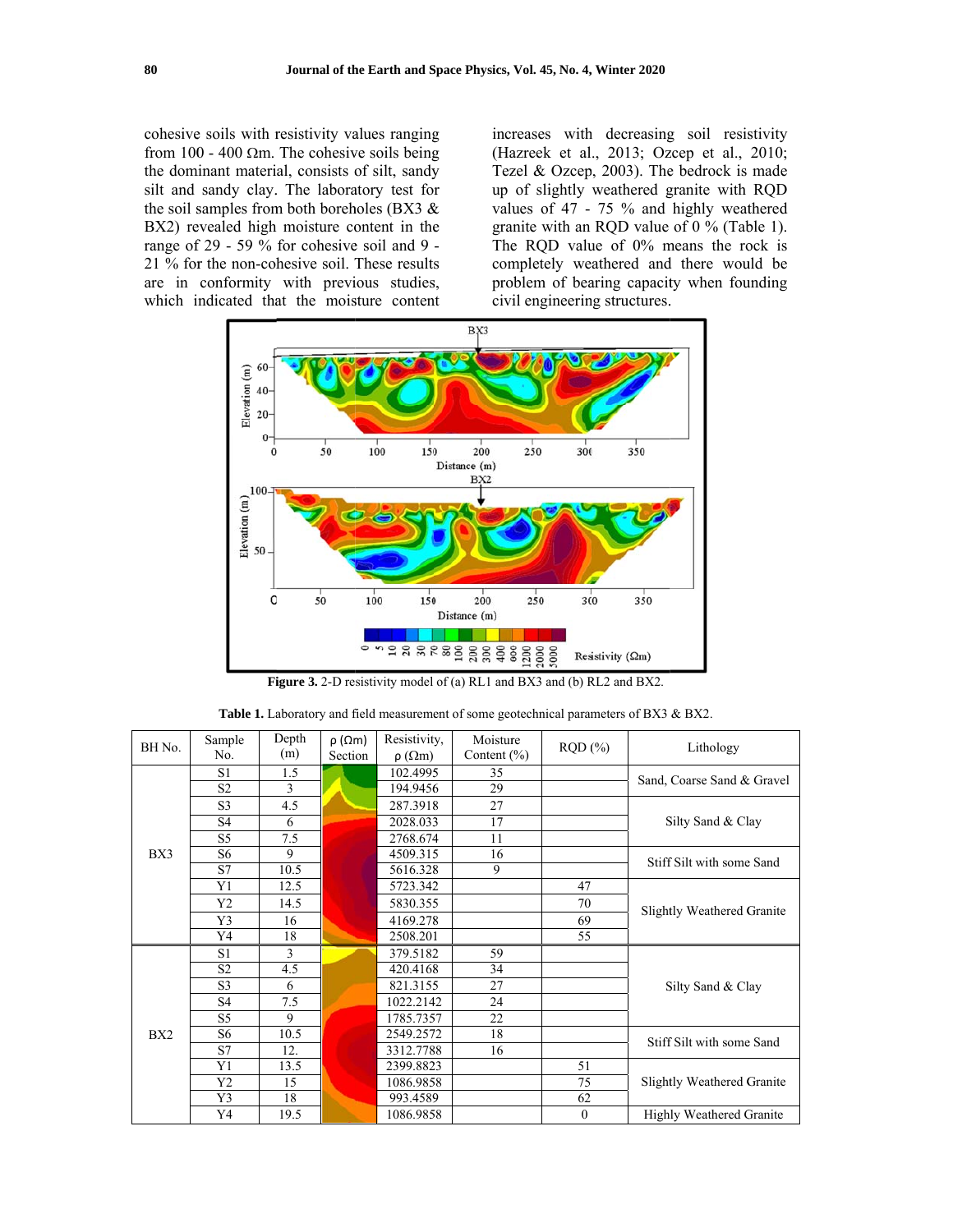cohesive soils with resistivity values ranging from 100 - 400  $\Omega$ m. The cohesive soils being the dominant material, consists of silt, sandy silt and sandy clay. The laboratory test for the soil samples from both boreholes (BX3  $\&$ BX2) revealed high moisture content in the range of 29 - 59 % for cohesive soil and 9 -21 % for the non-cohesive soil. These results are in conformity with previous studies, which indicated that the moisture content

increases with decreasing soil resistivity (Hazreek et al., 2013; Ozcep et al., 2010; Tezel & Ozcep, 2003). The bedrock is made up of slightly weathered granite with RQD values of 47 - 75 % and highly weathered granite with an RQD value of 0 % (Table 1). The RQD value of 0% means the rock is completely weathered and there would be problem of bearing capacity when founding civil engineering structures.



**Figure 3.** 2-D resistivity model of (a) RL1 and BX3 and (b) RL2 and BX2.

| BH No. | Sample         | Depth | $\rho$ ( $\Omega$ m) | Resistivity,     | Moisture        | RQD(%)           | Lithology                         |  |
|--------|----------------|-------|----------------------|------------------|-----------------|------------------|-----------------------------------|--|
|        | No.            | (m)   | Section              | $\rho(\Omega m)$ | Content $(\% )$ |                  |                                   |  |
|        | S1             | 1.5   |                      | 102.4995         | 35              |                  |                                   |  |
|        | S <sub>2</sub> | 3     |                      | 194.9456         | 29              |                  | Sand, Coarse Sand & Gravel        |  |
|        | S <sub>3</sub> | 4.5   |                      | 287.3918         | 27              |                  |                                   |  |
|        | S4             | 6     |                      | 2028.033         | 17              |                  | Silty Sand & Clay                 |  |
|        | S <sub>5</sub> | 7.5   |                      | 2768.674         | 11              |                  |                                   |  |
| BX3    | S6             | 9     |                      | 4509.315         | 16              |                  | Stiff Silt with some Sand         |  |
|        | S7             | 10.5  |                      | 5616.328         | 9               |                  |                                   |  |
| BX2    | Y1             | 12.5  |                      | 5723.342         |                 | 47               |                                   |  |
|        | Y <sub>2</sub> | 14.5  |                      | 5830.355         |                 | 70               | <b>Slightly Weathered Granite</b> |  |
|        | Y3             | 16    |                      | 4169.278         |                 | 69               |                                   |  |
|        | Y4             | 18    |                      | 2508.201         |                 | 55               |                                   |  |
|        | S <sub>1</sub> | 3     |                      | 379.5182         | 59              |                  |                                   |  |
|        | S <sub>2</sub> | 4.5   |                      | 420.4168         | 34              |                  |                                   |  |
|        | S <sub>3</sub> | 6     |                      | 821.3155         | 27              |                  | Silty Sand & Clay                 |  |
|        | S4             | 7.5   |                      | 1022.2142        | 24              |                  |                                   |  |
|        | S5             | 9     |                      | 1785.7357        | 22              |                  |                                   |  |
|        | S <sub>6</sub> | 10.5  |                      | 2549.2572        | 18              |                  | Stiff Silt with some Sand         |  |
|        | S7             | 12.   |                      | 3312.7788        | 16              |                  |                                   |  |
|        | Y1             | 13.5  |                      | 2399.8823        |                 | 51               |                                   |  |
|        | Y <sub>2</sub> | 15    |                      | 1086.9858        |                 | 75               | <b>Slightly Weathered Granite</b> |  |
|        | Y3             | 18    |                      | 993.4589         |                 | 62               |                                   |  |
|        | Y4             | 19.5  |                      | 1086.9858        |                 | $\boldsymbol{0}$ | Highly Weathered Granite          |  |

Table 1. Laboratory and field measurement of some geotechnical parameters of BX3 & BX2.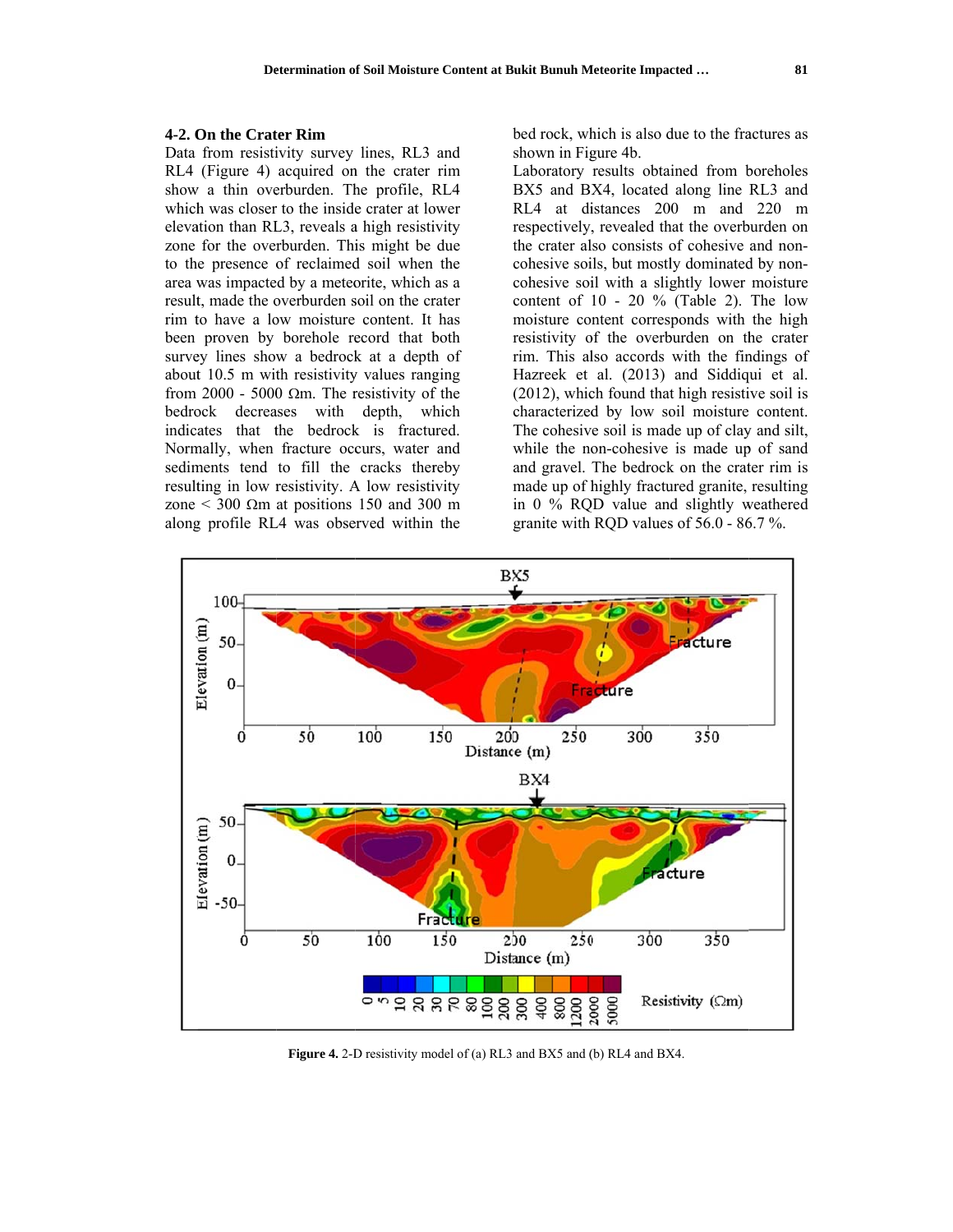### **4-2. On the Crater Rim**

Data from resistivity survey lines, RL3 and RL4 (Figure 4) acquired on the crater rim show a thin overburden. The profile, RL4 which was closer to the inside crater at lower elevation than RL3, reveals a high resistivity zone for the overburden. This might be due to the presence of reclaimed soil when the area was impacted by a meteorite, which as a result, made the overburden soil on the crater rim to have a low moisture content. It has been proven by borehole record that both survey lines show a bedrock at a depth of about 10.5 m with resistivity values ranging from 2000 - 5000  $\Omega$ m. The resistivity of the bedrock decreases with depth, which indicates that the bedrock is fractured. Normally, when fracture occurs, water and sediments tend to fill the cracks thereby resulting in low resistivity. A low resistivity zone  $\leq$  300  $\Omega$ m at positions 150 and 300 m along profile RL4 was observed within the bed rock, which is also due to the fractures as shown in Figure 4b.

Laboratory results obtained from boreholes BX5 and B X4, located along line RL3 and RL4 at distances 200 m and 220 m respectively , revealed th hat the overb burden on the crater also consists of cohesive and noncohesive soils, but mostly dominated by noncohesive soil with a slightly lower moisture content of  $10 - 20$  % (Table 2). The low moisture co ntent corres ponds with the high resistivity of the overburden on the crater rim. This also accords with the findings of Hazreek et al. (2013) and Siddiqui et al.  $(2012)$ , which found that high resistive soil is characterized by low soil moisture content. The cohesive soil is made up of clay and silt, while the non-cohesive is made up of sand and gravel. The bedrock on the crater rim is made up of highly fractured granite, resulting in 0 % RQ QD value an d slightly w weathered granite with RQD values of  $56.0 - 86.7$  %.



**Figure 4.** 2-D resistivity model of (a) RL3 and BX5 and (b) RL4 and BX4.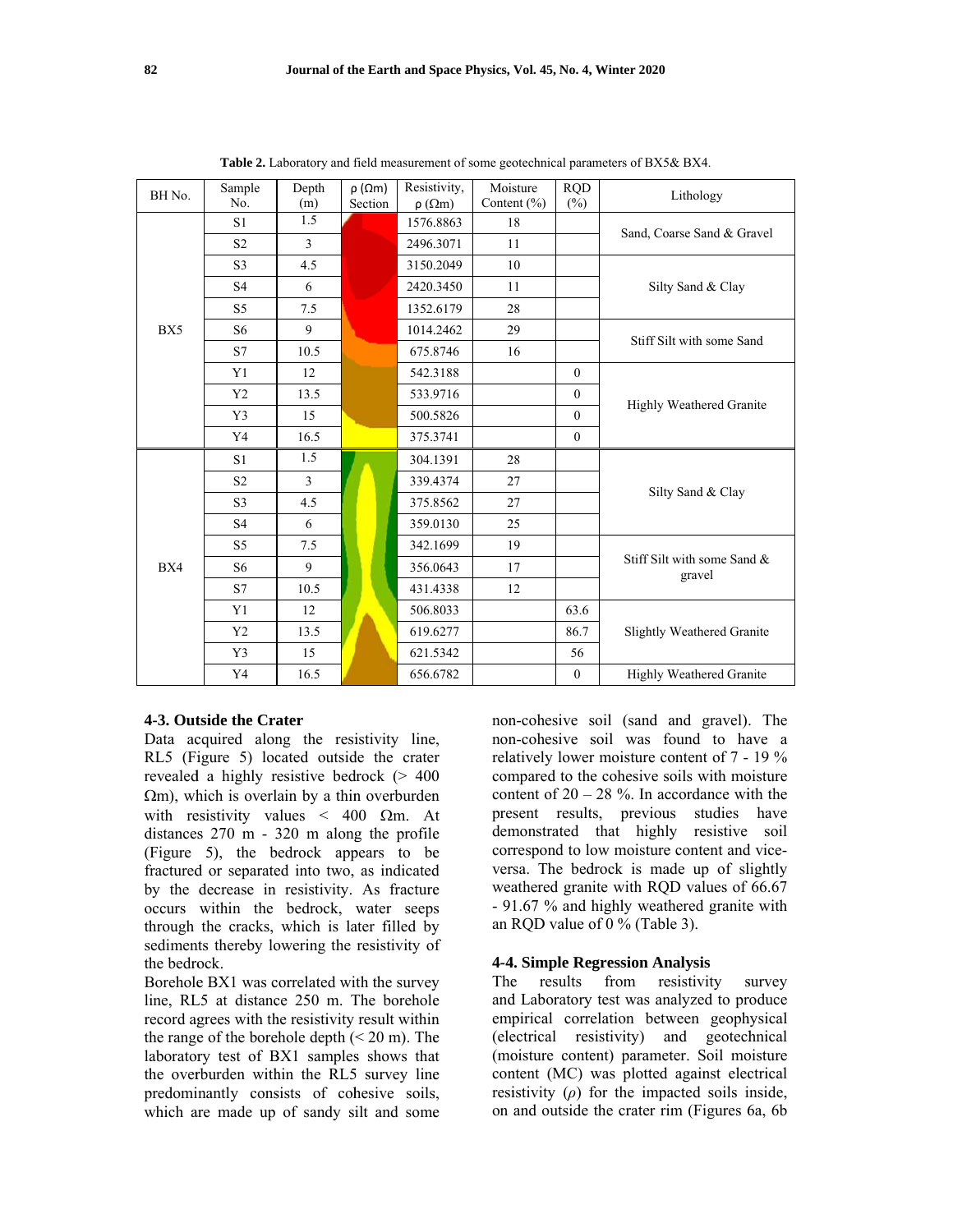| BH No. | Sample<br>No.  | Depth<br>(m) | $\rho$ ( $\Omega$ m)<br>Section | Resistivity,<br>$\rho(\Omega m)$ | Moisture<br>Content $(\% )$ | <b>RQD</b><br>$(\%)$ | Lithology                             |  |
|--------|----------------|--------------|---------------------------------|----------------------------------|-----------------------------|----------------------|---------------------------------------|--|
|        | S <sub>1</sub> | 1.5          |                                 | 1576.8863                        | 18                          |                      |                                       |  |
|        | S <sub>2</sub> | 3            |                                 | 2496.3071                        | 11                          |                      | Sand, Coarse Sand & Gravel            |  |
|        | S <sub>3</sub> | 4.5          |                                 | 3150.2049                        | 10                          |                      |                                       |  |
|        | S <sub>4</sub> | 6            |                                 | 2420.3450                        | 11                          |                      | Silty Sand & Clay                     |  |
|        | S <sub>5</sub> | 7.5          |                                 | 1352.6179                        | 28                          |                      |                                       |  |
| BX5    | S <sub>6</sub> | 9            |                                 | 1014.2462                        | 29                          |                      | Stiff Silt with some Sand             |  |
|        | S7             | 10.5         |                                 | 675.8746                         | 16                          |                      |                                       |  |
|        | Y <sub>1</sub> | 12           |                                 | 542.3188                         |                             | $\theta$             |                                       |  |
| BX4    | Y <sub>2</sub> | 13.5         |                                 | 533.9716                         |                             | $\overline{0}$       |                                       |  |
|        | Y3             | 15           |                                 | 500.5826                         |                             | $\overline{0}$       | Highly Weathered Granite              |  |
|        | Y4             | 16.5         |                                 | 375.3741                         |                             | 0                    |                                       |  |
|        | S1             | 1.5          |                                 | 304.1391                         | 28                          |                      |                                       |  |
|        | S <sub>2</sub> | 3            |                                 | 339.4374                         | 27                          |                      |                                       |  |
|        | S <sub>3</sub> | 4.5          |                                 | 375.8562                         | 27                          |                      | Silty Sand & Clay                     |  |
|        | S <sub>4</sub> | 6            |                                 | 359.0130                         | 25                          |                      |                                       |  |
|        | S <sub>5</sub> | 7.5          |                                 | 342.1699                         | 19                          |                      |                                       |  |
|        | S <sub>6</sub> | 9            |                                 | 356.0643                         | 17                          |                      | Stiff Silt with some Sand &<br>gravel |  |
|        | S7             | 10.5         |                                 | 431.4338                         | 12                          |                      |                                       |  |
|        | Y1             | 12           |                                 | 506.8033                         |                             | 63.6                 |                                       |  |
|        | Y <sub>2</sub> | 13.5         |                                 | 619.6277                         |                             | 86.7                 | <b>Slightly Weathered Granite</b>     |  |
|        | Y3             | 15           |                                 | 621.5342                         |                             | 56                   |                                       |  |
|        | Y4             | 16.5         |                                 | 656.6782                         |                             | 0                    | Highly Weathered Granite              |  |

Table 2. Laboratory and field measurement of some geotechnical parameters of BX5& BX4.

## 4-3. Outside the Crater

Data acquired along the resistivity line, RL5 (Figure 5) located outside the crater revealed a highly resistive bedrock  $(> 400$  $\Omega$ m), which is overlain by a thin overburden with resistivity values < 400  $\Omega$ m. At distances  $270 \text{ m} - 320 \text{ m}$  along the profile (Figure 5), the bedrock appears to be fractured or separated into two, as indicated by the decrease in resistivity. As fracture occurs within the bedrock, water seeps through the cracks, which is later filled by sediments thereby lowering the resistivity of the bedrock.

Borehole BX1 was correlated with the survey line, RL5 at distance 250 m. The borehole record agrees with the resistivity result within the range of the borehole depth  $(< 20 \text{ m})$ . The laboratory test of BX1 samples shows that the overburden within the RL5 survey line predominantly consists of cohesive soils, which are made up of sandy silt and some

non-cohesive soil (sand and gravel). The non-cohesive soil was found to have a relatively lower moisture content of 7 - 19 % compared to the cohesive soils with moisture content of  $20 - 28$  %. In accordance with the present results, previous studies have demonstrated that highly resistive soil correspond to low moisture content and viceversa. The bedrock is made up of slightly weathered granite with RQD values of 66.67 - 91.67 % and highly weathered granite with an RQD value of  $0\%$  (Table 3).

### **4-4. Simple Regression Analysis**

The results from resistivity survey and Laboratory test was analyzed to produce empirical correlation between geophysical (electrical resistivity) and geotechnical (moisture content) parameter. Soil moisture content (MC) was plotted against electrical resistivity  $(\rho)$  for the impacted soils inside, on and outside the crater rim (Figures 6a, 6b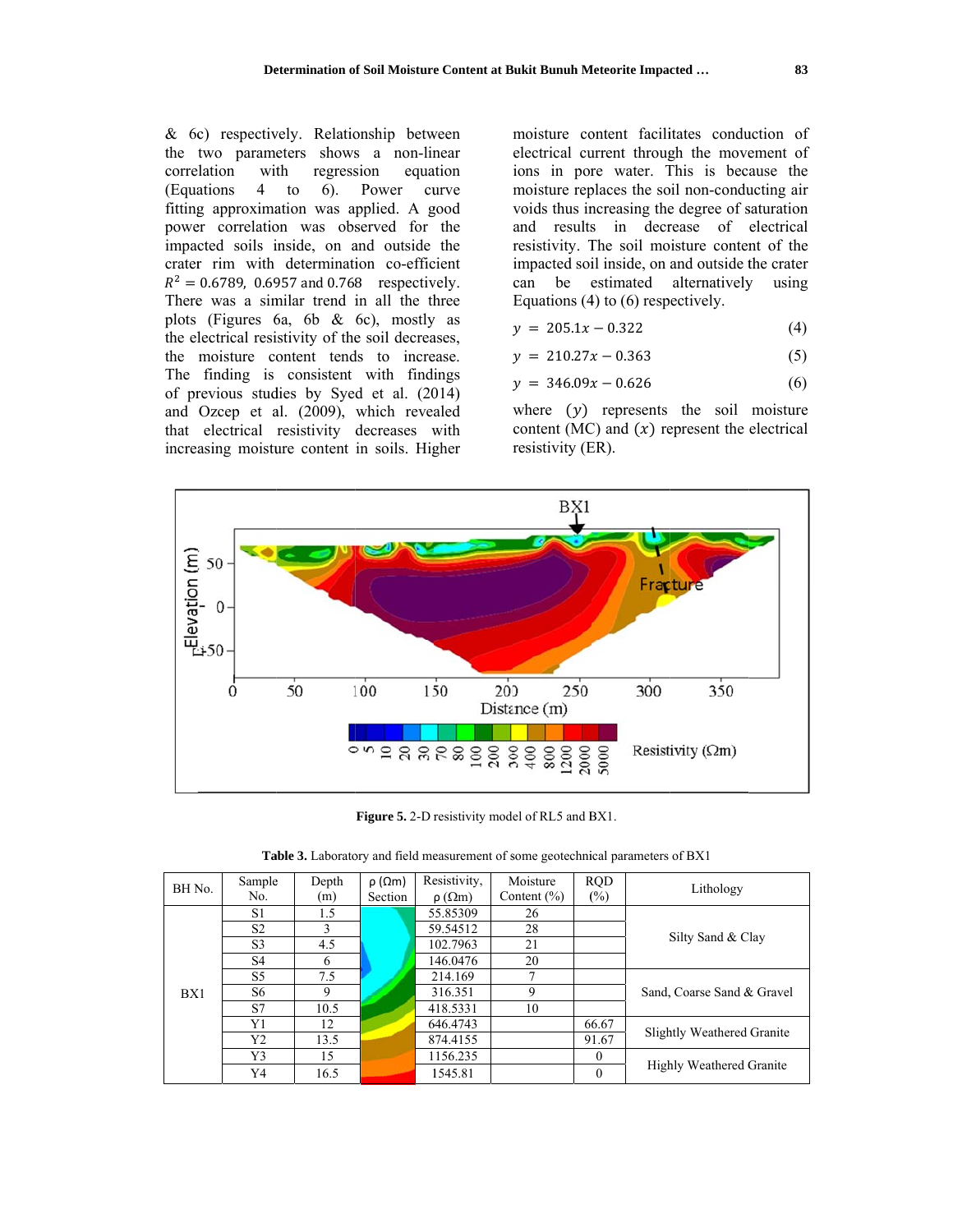& 6c) respectively. Relationship between the two parameters shows a non-linear regression correlation with equation  $4$  to  $6$ ). Power (Equations) curve fitting approximation was applied. A good power correlation was observed for the impacted soils inside, on and outside the crater rim with determination co-efficient  $R^2 = 0.6789$ , 0.6957 and 0.768 respectively. There was a similar trend in all the three plots (Figures 6a, 6b  $\&$  6c), mostly as the electrical resistivity of the soil decreases, the moisture content tends to increase. The finding is consistent with findings of previous studies by Syed et al. (2014) and Ozcep et al. (2009), which revealed that electrical resistivity decreases with increasing moisture content in soils. Higher moisture content facilitates conduction of electrical current through the movement of ions in pore water. This is because the moisture replaces the soil non-conducting air voids thus increasing the degree of saturation and results in decrease of electrical resistivity. The soil moisture content of the impacted soil inside, on and outside the crater can be estimated alternatively using Equations  $(4)$  to  $(6)$  respectively.

$$
y = 205.1x - 0.322 \tag{4}
$$

$$
y = 210.27x - 0.363\tag{5}
$$

$$
y = 346.09x - 0.626 \tag{6}
$$

where  $(y)$  represents the soil moisture content (MC) and  $(x)$  represent the electrical resistivity (ER).



Figure 5. 2-D resistivity model of RL5 and BX1.

|  | <b>Table 3.</b> Laboratory and field measurement of some geotechnical parameters of BX1 |  |  |  |  |  |
|--|-----------------------------------------------------------------------------------------|--|--|--|--|--|
|--|-----------------------------------------------------------------------------------------|--|--|--|--|--|

| BH No. | Sample<br>No.  | Depth<br>(m) | $\rho$ ( $\Omega$ m)<br>Section | Resistivity,<br>$\rho(\Omega m)$ | Moisture<br>Content $(\% )$ | <b>ROD</b><br>$(\%)$ | Lithology                  |  |
|--------|----------------|--------------|---------------------------------|----------------------------------|-----------------------------|----------------------|----------------------------|--|
|        | S1             | 1.5          |                                 | 55.85309                         | 26                          |                      |                            |  |
| BX1    | S <sub>2</sub> | 3            |                                 | 59.54512                         | 28                          |                      |                            |  |
|        | S <sub>3</sub> | 4.5          |                                 | 102.7963                         | 21                          |                      | Silty Sand & Clay          |  |
|        | S <sub>4</sub> | 6            |                                 | 146.0476                         | 20                          |                      |                            |  |
|        | S5             | 7.5          |                                 | 214.169                          | ┑                           |                      |                            |  |
|        | S6             | 9            |                                 | 316.351                          | 9                           |                      | Sand, Coarse Sand & Gravel |  |
|        | S7             | 10.5         |                                 | 418.5331                         | 10                          |                      |                            |  |
|        | Y1             | 12           |                                 | 646.4743                         |                             | 66.67                | Slightly Weathered Granite |  |
|        | Y2             | 13.5         |                                 | 874.4155                         |                             | 91.67                |                            |  |
|        | Y3             | 15           |                                 | 1156.235                         |                             | $\theta$             |                            |  |
|        | Y4             | 16.5         |                                 | 1545.81                          |                             | 0                    | Highly Weathered Granite   |  |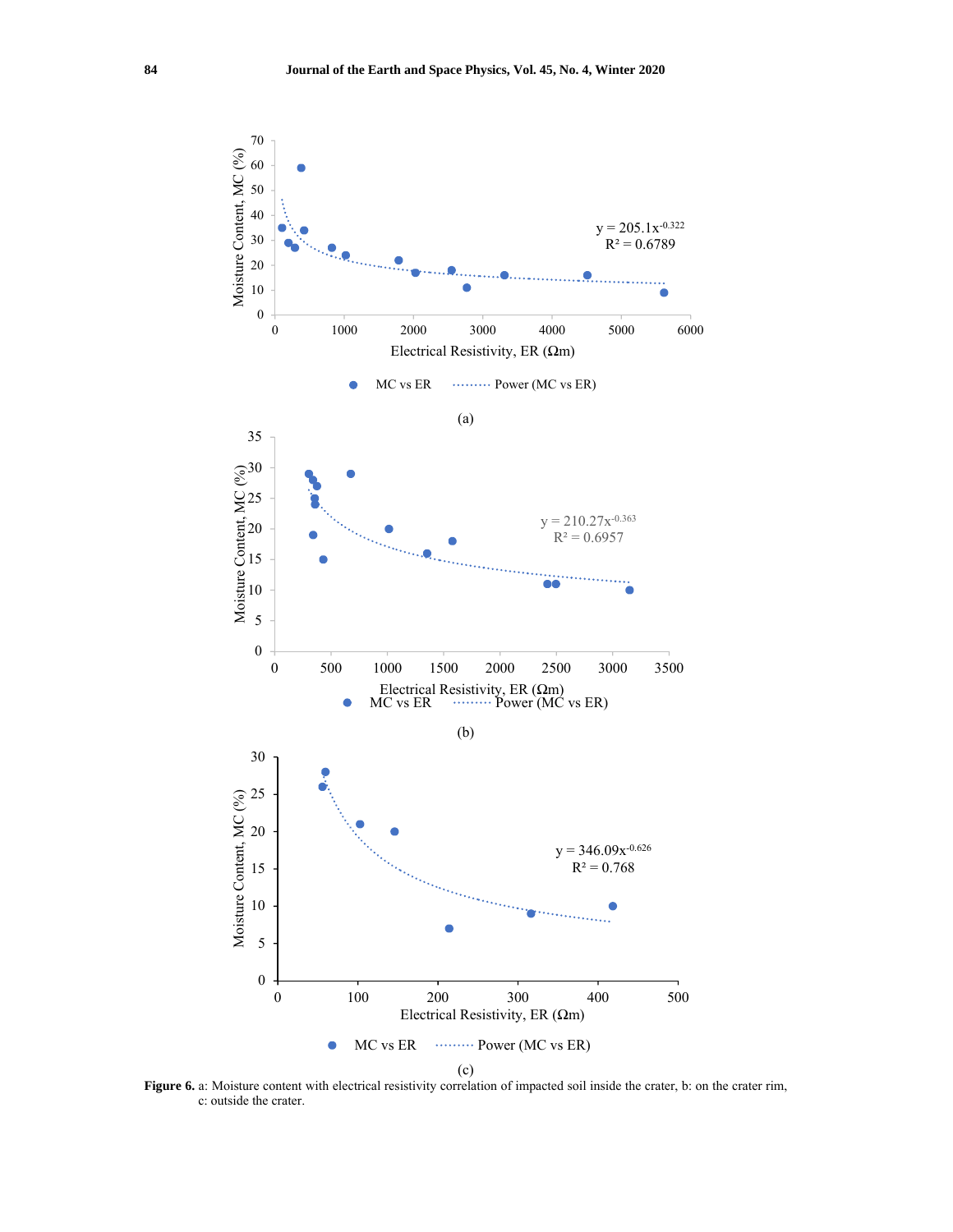

Figure 6. a: Moisture content with electrical resistivity correlation of impacted soil inside the crater, b: on the crater rim, c: outside the crater.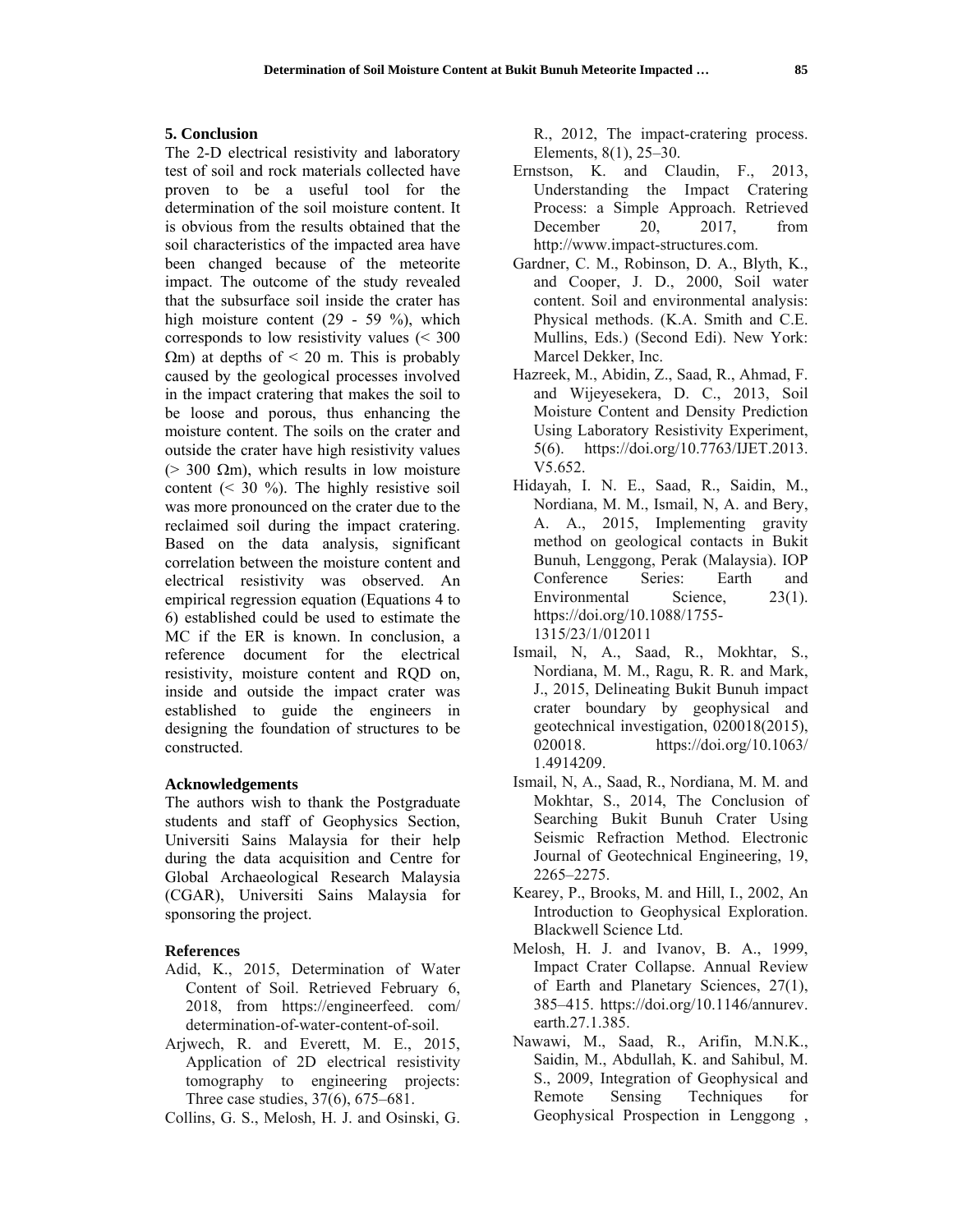#### **5. Conclusion**

The 2-D electrical resistivity and laboratory test of soil and rock materials collected have proven to be a useful tool for the determination of the soil moisture content. It is obvious from the results obtained that the soil characteristics of the impacted area have been changed because of the meteorite impact. The outcome of the study revealed that the subsurface soil inside the crater has high moisture content (29 - 59 %), which corresponds to low resistivity values (< 300  $\Omega$ m) at depths of < 20 m. This is probably caused by the geological processes involved in the impact cratering that makes the soil to be loose and porous, thus enhancing the moisture content. The soils on the crater and outside the crater have high resistivity values ( $>$  300  $\Omega$ m), which results in low moisture content  $($   $\leq$  30  $\%$ ). The highly resistive soil was more pronounced on the crater due to the reclaimed soil during the impact cratering. Based on the data analysis, significant correlation between the moisture content and electrical resistivity was observed. An empirical regression equation (Equations 4 to 6) established could be used to estimate the MC if the ER is known. In conclusion, a reference document for the electrical resistivity, moisture content and RQD on, inside and outside the impact crater was established to guide the engineers in designing the foundation of structures to be constructed.

# **Acknowledgements**

The authors wish to thank the Postgraduate students and staff of Geophysics Section, Universiti Sains Malaysia for their help during the data acquisition and Centre for Global Archaeological Research Malaysia (CGAR), Universiti Sains Malaysia for sponsoring the project.

# **References**

- Adid, K., 2015, Determination of Water Content of Soil. Retrieved February 6, 2018, from https://engineerfeed. com/ determination-of-water-content-of-soil.
- Arjwech, R. and Everett, M. E., 2015, Application of 2D electrical resistivity tomography to engineering projects: Three case studies, 37(6), 675–681.
- Collins, G. S., Melosh, H. J. and Osinski, G.

R., 2012, The impact-cratering process. Elements, 8(1), 25–30.

- Ernstson, K. and Claudin, F., 2013, Understanding the Impact Cratering Process: a Simple Approach. Retrieved December 20, 2017, from http://www.impact-structures.com.
- Gardner, C. M., Robinson, D. A., Blyth, K., and Cooper, J. D., 2000, Soil water content. Soil and environmental analysis: Physical methods. (K.A. Smith and C.E. Mullins, Eds.) (Second Edi). New York: Marcel Dekker, Inc.
- Hazreek, M., Abidin, Z., Saad, R., Ahmad, F. and Wijeyesekera, D. C., 2013, Soil Moisture Content and Density Prediction Using Laboratory Resistivity Experiment, 5(6). https://doi.org/10.7763/IJET.2013. V5.652.
- Hidayah, I. N. E., Saad, R., Saidin, M., Nordiana, M. M., Ismail, N, A. and Bery, A. A., 2015, Implementing gravity method on geological contacts in Bukit Bunuh, Lenggong, Perak (Malaysia). IOP Conference Series: Earth and Environmental Science, 23(1). https://doi.org/10.1088/1755- 1315/23/1/012011
- Ismail, N, A., Saad, R., Mokhtar, S., Nordiana, M. M., Ragu, R. R. and Mark, J., 2015, Delineating Bukit Bunuh impact crater boundary by geophysical and geotechnical investigation, 020018(2015), 020018. https://doi.org/10.1063/ 1.4914209.
- Ismail, N, A., Saad, R., Nordiana, M. M. and Mokhtar, S., 2014, The Conclusion of Searching Bukit Bunuh Crater Using Seismic Refraction Method. Electronic Journal of Geotechnical Engineering, 19, 2265–2275.
- Kearey, P., Brooks, M. and Hill, I., 2002, An Introduction to Geophysical Exploration. Blackwell Science Ltd.
- Melosh, H. J. and Ivanov, B. A., 1999, Impact Crater Collapse. Annual Review of Earth and Planetary Sciences, 27(1), 385–415. https://doi.org/10.1146/annurev. earth.27.1.385.
- Nawawi, M., Saad, R., Arifin, M.N.K., Saidin, M., Abdullah, K. and Sahibul, M. S., 2009, Integration of Geophysical and Remote Sensing Techniques for Geophysical Prospection in Lenggong ,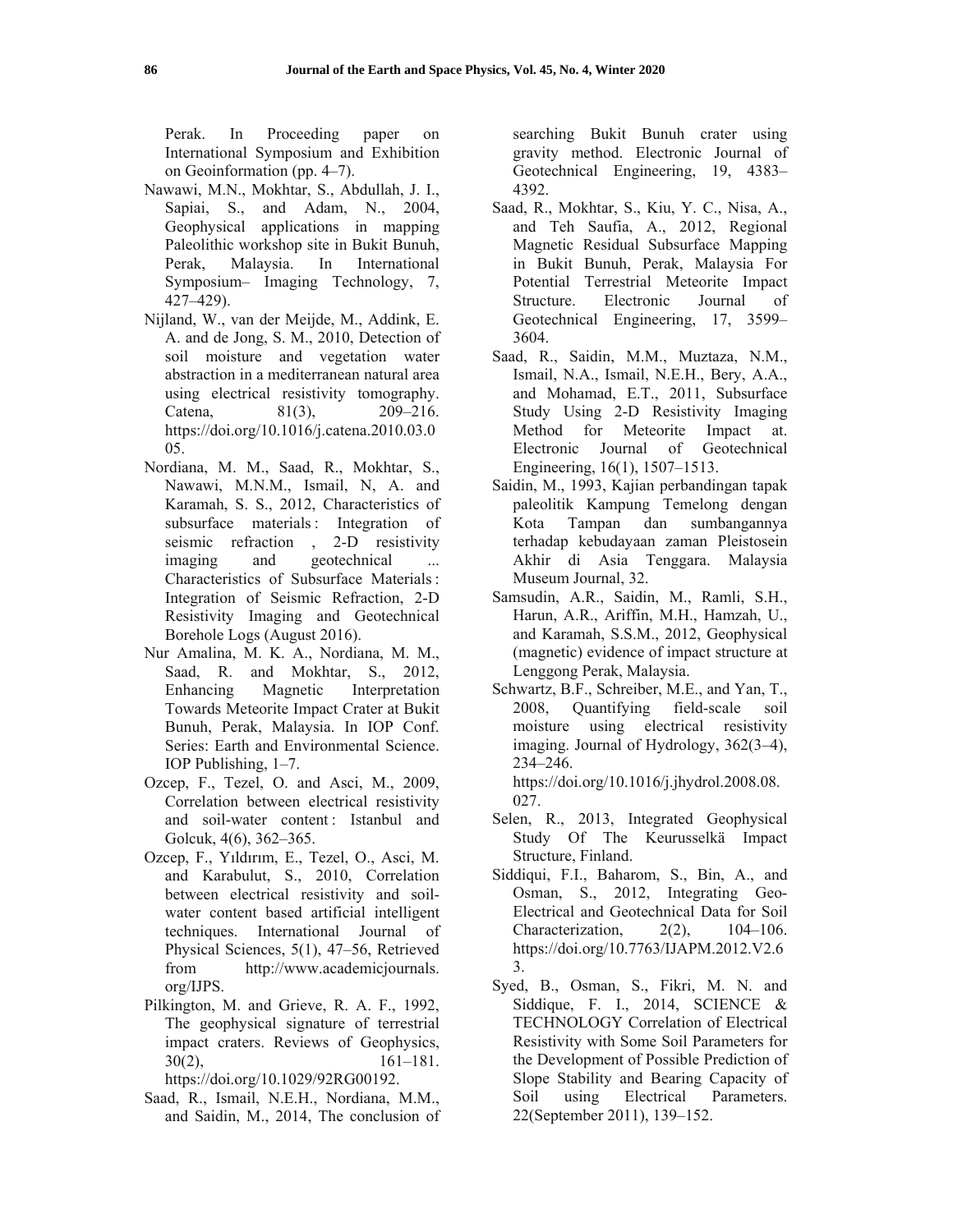Perak. In Proceeding paper on International Symposium and Exhibition on Geoinformation (pp. 4–7).

- Nawawi, M.N., Mokhtar, S., Abdullah, J. I., Sapiai, S., and Adam, N., 2004, Geophysical applications in mapping Paleolithic workshop site in Bukit Bunuh, Perak, Malaysia. In International Symposium– Imaging Technology, 7, 427–429).
- Nijland, W., van der Meijde, M., Addink, E. A. and de Jong, S. M., 2010, Detection of soil moisture and vegetation water abstraction in a mediterranean natural area using electrical resistivity tomography. Catena, 81(3), 209-216. https://doi.org/10.1016/j.catena.2010.03.0 05.
- Nordiana, M. M., Saad, R., Mokhtar, S., Nawawi, M.N.M., Ismail, N, A. and Karamah, S. S., 2012, Characteristics of subsurface materials: Integration of seismic refraction , 2-D resistivity imaging and geotechnical Characteristics of Subsurface Materials: Integration of Seismic Refraction, 2-D Resistivity Imaging and Geotechnical Borehole Logs (August 2016).
- Nur Amalina, M. K. A., Nordiana, M. M., Saad, R. and Mokhtar, S., 2012, Enhancing Magnetic Interpretation Towards Meteorite Impact Crater at Bukit Bunuh, Perak, Malaysia. In IOP Conf. Series: Earth and Environmental Science. IOP Publishing, 1–7.
- Ozcep, F., Tezel, O. and Asci, M., 2009, Correlation between electrical resistivity and soil-water content : Istanbul and Golcuk, 4(6), 362–365.
- Ozcep, F., Yıldırım, E., Tezel, O., Asci, M. and Karabulut, S., 2010, Correlation between electrical resistivity and soilwater content based artificial intelligent techniques. International Journal of Physical Sciences, 5(1), 47–56, Retrieved from http://www.academicjournals. org/IJPS.
- Pilkington, M. and Grieve, R. A. F., 1992, The geophysical signature of terrestrial impact craters. Reviews of Geophysics,  $30(2)$ ,  $161-181$ . https://doi.org/10.1029/92RG00192.
- Saad, R., Ismail, N.E.H., Nordiana, M.M., and Saidin, M., 2014, The conclusion of

searching Bukit Bunuh crater using gravity method. Electronic Journal of Geotechnical Engineering, 19, 4383– 4392.

- Saad, R., Mokhtar, S., Kiu, Y. C., Nisa, A., and Teh Saufia, A., 2012, Regional Magnetic Residual Subsurface Mapping in Bukit Bunuh, Perak, Malaysia For Potential Terrestrial Meteorite Impact Structure. Electronic Journal of Geotechnical Engineering, 17, 3599– 3604.
- Saad, R., Saidin, M.M., Muztaza, N.M., Ismail, N.A., Ismail, N.E.H., Bery, A.A., and Mohamad, E.T., 2011, Subsurface Study Using 2-D Resistivity Imaging Method for Meteorite Impact at. Electronic Journal of Geotechnical Engineering, 16(1), 1507–1513.
- Saidin, M., 1993, Kajian perbandingan tapak paleolitik Kampung Temelong dengan Kota Tampan dan sumbangannya terhadap kebudayaan zaman Pleistosein Akhir di Asia Tenggara. Malaysia Museum Journal, 32.
- Samsudin, A.R., Saidin, M., Ramli, S.H., Harun, A.R., Ariffin, M.H., Hamzah, U., and Karamah, S.S.M., 2012, Geophysical (magnetic) evidence of impact structure at Lenggong Perak, Malaysia.
- Schwartz, B.F., Schreiber, M.E., and Yan, T., 2008, Quantifying field-scale soil moisture using electrical resistivity imaging. Journal of Hydrology, 362(3–4), 234–246.

https://doi.org/10.1016/j.jhydrol.2008.08. 027.

- Selen, R., 2013, Integrated Geophysical Study Of The Keurusselkä Impact Structure, Finland.
- Siddiqui, F.I., Baharom, S., Bin, A., and Osman, S., 2012, Integrating Geo-Electrical and Geotechnical Data for Soil Characterization, 2(2), 104–106. https://doi.org/10.7763/IJAPM.2012.V2.6 3.
- Syed, B., Osman, S., Fikri, M. N. and Siddique, F. I., 2014, SCIENCE & TECHNOLOGY Correlation of Electrical Resistivity with Some Soil Parameters for the Development of Possible Prediction of Slope Stability and Bearing Capacity of Soil using Electrical Parameters. 22(September 2011), 139–152.